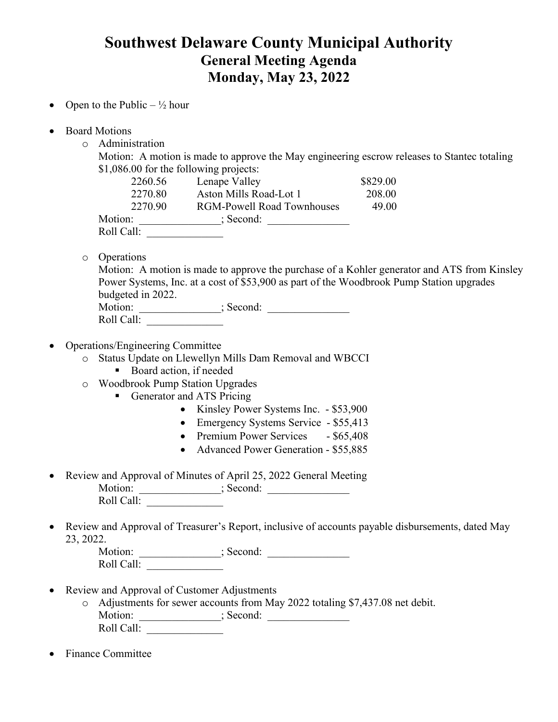## **Southwest Delaware County Municipal Authority General Meeting Agenda Monday, May 23, 2022**

- Open to the Public  $\frac{1}{2}$  hour
- Board Motions
	- o Administration

Motion: A motion is made to approve the May engineering escrow releases to Stantec totaling \$1,086.00 for the following projects:

| 2260.56    | Lenape Valley                     | \$829.00 |
|------------|-----------------------------------|----------|
| 2270.80    | Aston Mills Road-Lot 1            | 208.00   |
| 2270.90    | <b>RGM-Powell Road Townhouses</b> | 49.00    |
| Motion:    | ; Second:                         |          |
| Roll Call: |                                   |          |

o Operations

Motion: A motion is made to approve the purchase of a Kohler generator and ATS from Kinsley Power Systems, Inc. at a cost of \$53,900 as part of the Woodbrook Pump Station upgrades budgeted in 2022.

| Motion:    | : Second: |  |
|------------|-----------|--|
| Roll Call: |           |  |

• Operations/Engineering Committee

o Status Update on Llewellyn Mills Dam Removal and WBCCI

- Board action, if needed
- o Woodbrook Pump Station Upgrades
	- Generator and ATS Pricing
		- Kinsley Power Systems Inc. \$53,900
		- Emergency Systems Service \$55,413
		- Premium Power Services \$65,408
		- Advanced Power Generation \$55,885
- Review and Approval of Minutes of April 25, 2022 General Meeting Motion: \_\_\_\_\_\_\_\_\_\_\_\_\_\_\_; Second: \_\_\_\_\_\_\_\_\_\_\_\_\_\_\_ Roll Call: \_\_\_\_\_\_\_\_\_\_\_\_\_\_
- Review and Approval of Treasurer's Report, inclusive of accounts payable disbursements, dated May 23, 2022.

Motion: \_\_\_\_\_\_\_\_\_\_\_\_\_\_\_; Second: \_\_\_\_\_\_\_\_\_\_\_\_\_\_\_ Roll Call: \_\_\_\_\_\_\_\_\_\_\_\_\_\_

- Review and Approval of Customer Adjustments
	- o Adjustments for sewer accounts from May 2022 totaling \$7,437.08 net debit. Motion: \_\_\_\_\_\_\_\_\_\_\_\_\_\_\_; Second: \_\_\_\_\_\_\_\_\_\_\_\_\_\_\_ Roll Call:
- Finance Committee